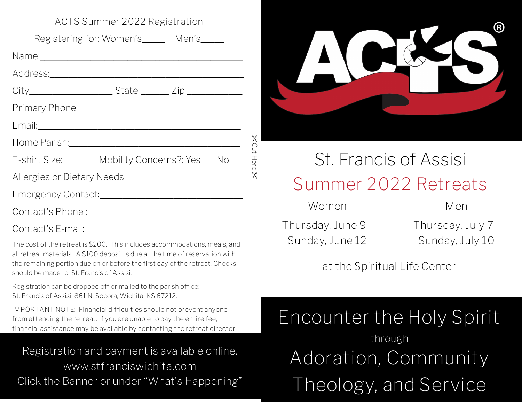| AUTS SUITIMER ZUZZ REGISTRITUM                                                                                                                                                                                                                                                         |
|----------------------------------------------------------------------------------------------------------------------------------------------------------------------------------------------------------------------------------------------------------------------------------------|
| Registering for: Women's______ Men's_____                                                                                                                                                                                                                                              |
|                                                                                                                                                                                                                                                                                        |
|                                                                                                                                                                                                                                                                                        |
|                                                                                                                                                                                                                                                                                        |
|                                                                                                                                                                                                                                                                                        |
| Email: 2008 - 2008 - 2010 - 2010 - 2010 - 2010 - 2011 - 2012 - 2012 - 2012 - 2012 - 2012 - 2013 - 2014 - 2014                                                                                                                                                                          |
| Home Parish: <u>2000 - 2000 - 2010</u>                                                                                                                                                                                                                                                 |
| T-shirt Size:_______ Mobility Concerns?: Yes___ No___                                                                                                                                                                                                                                  |
|                                                                                                                                                                                                                                                                                        |
|                                                                                                                                                                                                                                                                                        |
|                                                                                                                                                                                                                                                                                        |
|                                                                                                                                                                                                                                                                                        |
| The cost of the retreat is \$200. This includes accommodations, meals, and<br>all retreat materials. A \$100 deposit is due at the time of reservation with<br>the remaining portion due on or before the first day of the retreat. Checks<br>should be made to St. Francis of Assisi. |
| Registration can be dropped off or mailed to the parish office:<br>St. Francis of Assisi, 861 N. Socora, Wichita, KS 67212.                                                                                                                                                            |
| IMPORTANT NOTE: Financial difficulties should not prevent anyone<br>from attending the retreat. If you are unable to pay the entire fee,<br>financial assistance may be available by contacting the retreat director.                                                                  |
| Registration and payment is available online.                                                                                                                                                                                                                                          |
| www.stfranciswichita.com                                                                                                                                                                                                                                                               |
| Click the Banner or under "What's Happening"                                                                                                                                                                                                                                           |

**ACTS Summer 2022 Registration**

Registration and payment is available online. **www.stfranciswichita.com**



# St. Francis of Assisi **Summer 2022 Retreats**

**Women**

Cut Here

 $\times$ 

**Thursday, June 9 - Sunday, June 12**

**Thursday, July 7 - Sunday, July 10**

**Men**

# **at the Spiritual Life Center**

**Encounter the Holy Spirit through Adoration, Community Theology, and Service**